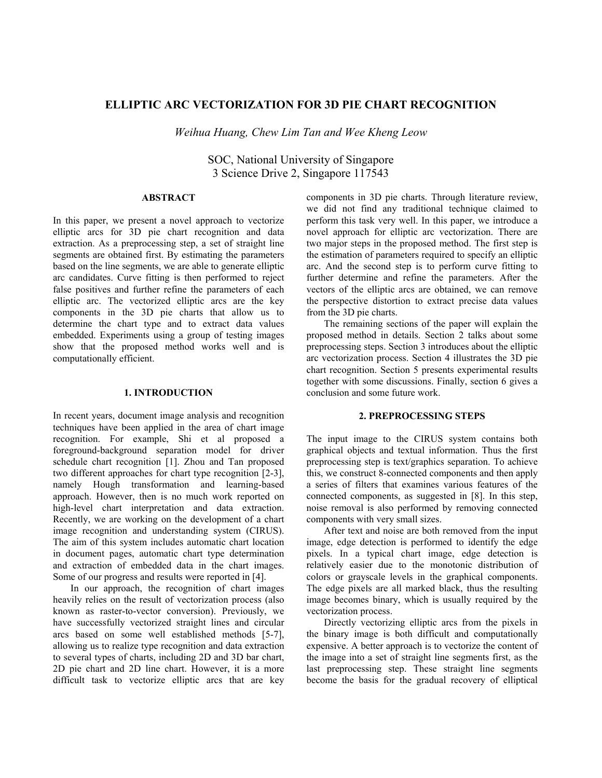# **ELLIPTIC ARC VECTORIZATION FOR 3D PIE CHART RECOGNITION**

*Weihua Huang, Chew Lim Tan and Wee Kheng Leow* 

SOC, National University of Singapore 3 Science Drive 2, Singapore 117543

## **ABSTRACT**

In this paper, we present a novel approach to vectorize elliptic arcs for 3D pie chart recognition and data extraction. As a preprocessing step, a set of straight line segments are obtained first. By estimating the parameters based on the line segments, we are able to generate elliptic arc candidates. Curve fitting is then performed to reject false positives and further refine the parameters of each elliptic arc. The vectorized elliptic arcs are the key components in the 3D pie charts that allow us to determine the chart type and to extract data values embedded. Experiments using a group of testing images show that the proposed method works well and is computationally efficient.

## **1. INTRODUCTION**

In recent years, document image analysis and recognition techniques have been applied in the area of chart image recognition. For example, Shi et al proposed a foreground-background separation model for driver schedule chart recognition [1]. Zhou and Tan proposed two different approaches for chart type recognition [2-3], namely Hough transformation and learning-based approach. However, then is no much work reported on high-level chart interpretation and data extraction. Recently, we are working on the development of a chart image recognition and understanding system (CIRUS). The aim of this system includes automatic chart location in document pages, automatic chart type determination and extraction of embedded data in the chart images. Some of our progress and results were reported in [4].

In our approach, the recognition of chart images heavily relies on the result of vectorization process (also known as raster-to-vector conversion). Previously, we have successfully vectorized straight lines and circular arcs based on some well established methods [5-7], allowing us to realize type recognition and data extraction to several types of charts, including 2D and 3D bar chart, 2D pie chart and 2D line chart. However, it is a more difficult task to vectorize elliptic arcs that are key

components in 3D pie charts. Through literature review, we did not find any traditional technique claimed to perform this task very well. In this paper, we introduce a novel approach for elliptic arc vectorization. There are two major steps in the proposed method. The first step is the estimation of parameters required to specify an elliptic arc. And the second step is to perform curve fitting to further determine and refine the parameters. After the vectors of the elliptic arcs are obtained, we can remove the perspective distortion to extract precise data values from the 3D pie charts.

The remaining sections of the paper will explain the proposed method in details. Section 2 talks about some preprocessing steps. Section 3 introduces about the elliptic arc vectorization process. Section 4 illustrates the 3D pie chart recognition. Section 5 presents experimental results together with some discussions. Finally, section 6 gives a conclusion and some future work.

## **2. PREPROCESSING STEPS**

The input image to the CIRUS system contains both graphical objects and textual information. Thus the first preprocessing step is text/graphics separation. To achieve this, we construct 8-connected components and then apply a series of filters that examines various features of the connected components, as suggested in [8]. In this step, noise removal is also performed by removing connected components with very small sizes.

After text and noise are both removed from the input image, edge detection is performed to identify the edge pixels. In a typical chart image, edge detection is relatively easier due to the monotonic distribution of colors or grayscale levels in the graphical components. The edge pixels are all marked black, thus the resulting image becomes binary, which is usually required by the vectorization process.

Directly vectorizing elliptic arcs from the pixels in the binary image is both difficult and computationally expensive. A better approach is to vectorize the content of the image into a set of straight line segments first, as the last preprocessing step. These straight line segments become the basis for the gradual recovery of elliptical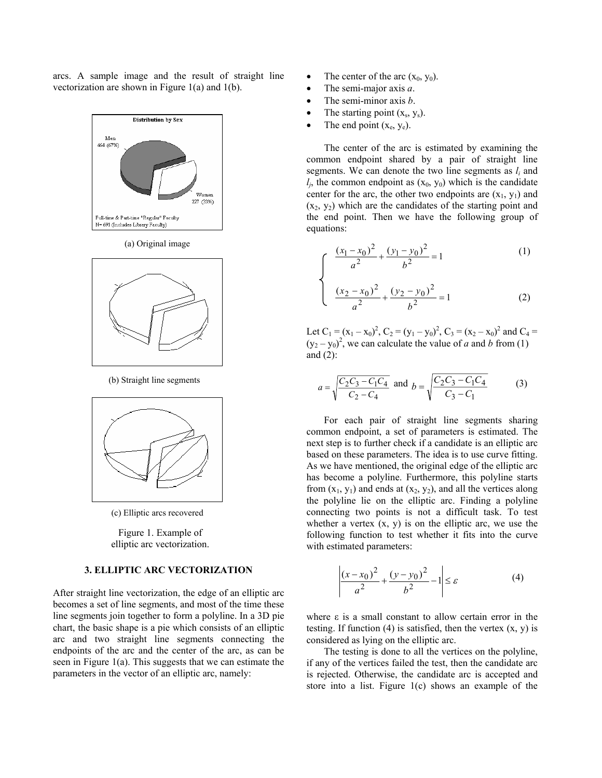arcs. A sample image and the result of straight line vectorization are shown in Figure 1(a) and 1(b).



*<sup>x</sup> <sup>x</sup>* (a) Original image



(b) Straight line segments



(c) Elliptic arcs recovered

Figure 1. Example of elliptic arc vectorization.

#### **3. ELLIPTIC ARC VECTORIZATION**

After straight line vectorization, the edge of an elliptic arc becomes a set of line segments, and most of the time these line segments join together to form a polyline. In a 3D pie chart, the basic shape is a pie which consists of an elliptic arc and two straight line segments connecting the endpoints of the arc and the center of the arc, as can be seen in Figure 1(a). This suggests that we can estimate the parameters in the vector of an elliptic arc, namely:

- The center of the arc  $(x_0, y_0)$ .
- The semi-major axis *a*.
- The semi-minor axis *b*.
- The starting point  $(x_s, y_s)$ .
- The end point  $(x_e, y_e)$ .

The center of the arc is estimated by examining the common endpoint shared by a pair of straight line segments. We can denote the two line segments as *li* and  $l_i$ , the common endpoint as  $(x_0, y_0)$  which is the candidate center for the arc, the other two endpoints are  $(x_1, y_1)$  and  $(x_2, y_2)$  which are the candidates of the starting point and the end point. Then we have the following group of equations:

$$
rac{(x_1 - x_0)^2}{a^2} + \frac{(y_1 - y_0)^2}{b^2} = 1
$$
 (1)

$$
\left(\frac{(x_2 - x_0)^2}{a^2} + \frac{(y_2 - y_0)^2}{b^2} = 1\right) \tag{2}
$$

Let  $C_1 = (x_1 - x_0)^2$ ,  $C_2 = (y_1 - y_0)^2$ ,  $C_3 = (x_2 - x_0)^2$  and  $C_4 =$  $(y_2 - y_0)^2$ , we can calculate the value of *a* and *b* from (1) and  $(2)$ :

$$
a = \sqrt{\frac{C_2 C_3 - C_1 C_4}{C_2 - C_4}} \text{ and } b = \sqrt{\frac{C_2 C_3 - C_1 C_4}{C_3 - C_1}}\tag{3}
$$

For each pair of straight line segments sharing common endpoint, a set of parameters is estimated. The next step is to further check if a candidate is an elliptic arc based on these parameters. The idea is to use curve fitting. As we have mentioned, the original edge of the elliptic arc has become a polyline. Furthermore, this polyline starts from  $(x_1, y_1)$  and ends at  $(x_2, y_2)$ , and all the vertices along the polyline lie on the elliptic arc. Finding a polyline connecting two points is not a difficult task. To test whether a vertex  $(x, y)$  is on the elliptic arc, we use the following function to test whether it fits into the curve with estimated parameters:

$$
\left| \frac{(x - x_0)^2}{a^2} + \frac{(y - y_0)^2}{b^2} - 1 \right| \le \varepsilon
$$
 (4)

where  $\varepsilon$  is a small constant to allow certain error in the testing. If function (4) is satisfied, then the vertex  $(x, y)$  is considered as lying on the elliptic arc.

The testing is done to all the vertices on the polyline, if any of the vertices failed the test, then the candidate arc is rejected. Otherwise, the candidate arc is accepted and store into a list. Figure 1(c) shows an example of the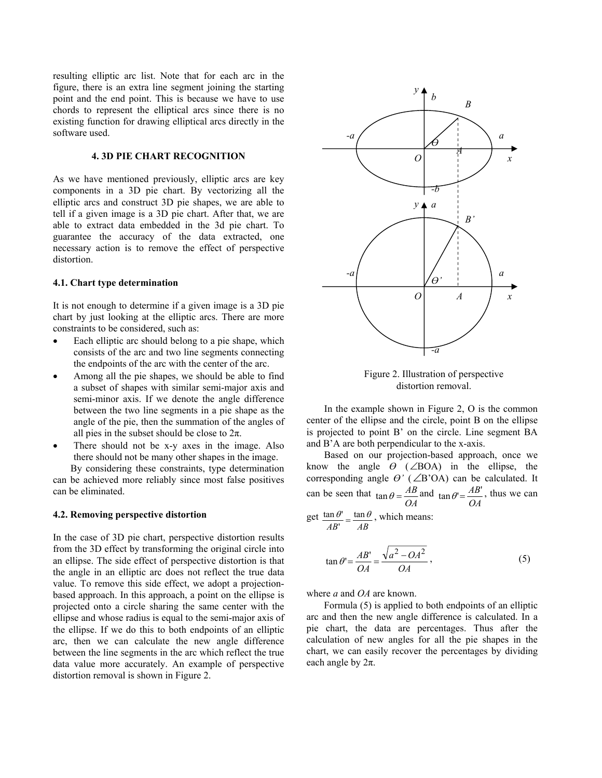resulting elliptic arc list. Note that for each arc in the figure, there is an extra line segment joining the starting point and the end point. This is because we have to use chords to represent the elliptical arcs since there is no existing function for drawing elliptical arcs directly in the software used.

## **4. 3D PIE CHART RECOGNITION**

As we have mentioned previously, elliptic arcs are key components in a 3D pie chart. By vectorizing all the elliptic arcs and construct 3D pie shapes, we are able to tell if a given image is a 3D pie chart. After that, we are able to extract data embedded in the 3d pie chart. To guarantee the accuracy of the data extracted, one necessary action is to remove the effect of perspective distortion.

#### **4.1. Chart type determination**

It is not enough to determine if a given image is a 3D pie chart by just looking at the elliptic arcs. There are more constraints to be considered, such as:

- Each elliptic arc should belong to a pie shape, which consists of the arc and two line segments connecting the endpoints of the arc with the center of the arc.
- Among all the pie shapes, we should be able to find a subset of shapes with similar semi-major axis and semi-minor axis. If we denote the angle difference between the two line segments in a pie shape as the angle of the pie, then the summation of the angles of all pies in the subset should be close to  $2\pi$ .
- There should not be x-y axes in the image. Also there should not be many other shapes in the image.

By considering these constraints, type determination can be achieved more reliably since most false positives can be eliminated.

## **4.2. Removing perspective distortion**

In the case of 3D pie chart, perspective distortion results from the 3D effect by transforming the original circle into an ellipse. The side effect of perspective distortion is that the angle in an elliptic arc does not reflect the true data value. To remove this side effect, we adopt a projectionbased approach. In this approach, a point on the ellipse is projected onto a circle sharing the same center with the ellipse and whose radius is equal to the semi-major axis of the ellipse. If we do this to both endpoints of an elliptic arc, then we can calculate the new angle difference between the line segments in the arc which reflect the true data value more accurately. An example of perspective distortion removal is shown in Figure 2.



Figure 2. Illustration of perspective distortion removal.

In the example shown in Figure 2, O is the common center of the ellipse and the circle, point B on the ellipse is projected to point B' on the circle. Line segment BA and B'A are both perpendicular to the x-axis.

Based on our projection-based approach, once we know the angle  $\theta$  (∠BOA) in the ellipse, the corresponding angle  $\theta'$  ( $\angle$ B'OA) can be calculated. It can be seen that *OA*  $\tan \theta = \frac{AB}{OA}$  and  $\tan \theta' = \frac{AB'}{OA}$ , thus we can

get *AB AB*  $\frac{\theta'}{B'} = \frac{\tan \theta}{AB}$  $\frac{\tan \theta'}{\tan \theta} = \frac{\tan \theta}{\tan \theta}$ , which means:

$$
\tan \theta = \frac{AB'}{OA} = \frac{\sqrt{a^2 - OA^2}}{OA},
$$
\n(5)

where *a* and *OA* are known.

Formula (5) is applied to both endpoints of an elliptic arc and then the new angle difference is calculated. In a pie chart, the data are percentages. Thus after the calculation of new angles for all the pie shapes in the chart, we can easily recover the percentages by dividing each angle by  $2\pi$ .